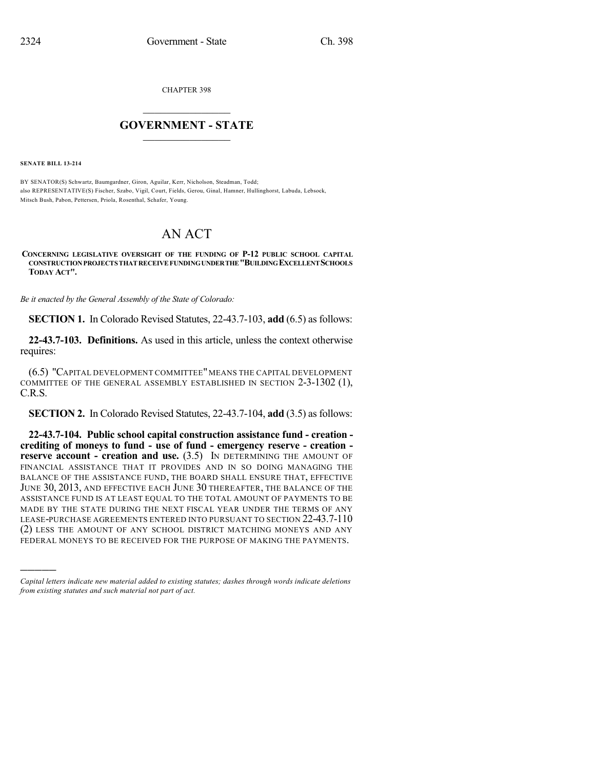CHAPTER 398

## $\mathcal{L}_\text{max}$  . The set of the set of the set of the set of the set of the set of the set of the set of the set of the set of the set of the set of the set of the set of the set of the set of the set of the set of the set **GOVERNMENT - STATE**  $\_$   $\_$   $\_$   $\_$   $\_$   $\_$   $\_$   $\_$

**SENATE BILL 13-214**

)))))

BY SENATOR(S) Schwartz, Baumgardner, Giron, Aguilar, Kerr, Nicholson, Steadman, Todd; also REPRESENTATIVE(S) Fischer, Szabo, Vigil, Court, Fields, Gerou, Ginal, Hamner, Hullinghorst, Labuda, Lebsock, Mitsch Bush, Pabon, Pettersen, Priola, Rosenthal, Schafer, Young.

## AN ACT

## **CONCERNING LEGISLATIVE OVERSIGHT OF THE FUNDING OF P-12 PUBLIC SCHOOL CAPITAL CONSTRUCTIONPROJECTSTHAT RECEIVE FUNDINGUNDERTHE"BUILDINGEXCELLENTSCHOOLS TODAY ACT".**

*Be it enacted by the General Assembly of the State of Colorado:*

**SECTION 1.** In Colorado Revised Statutes, 22-43.7-103, **add** (6.5) as follows:

**22-43.7-103. Definitions.** As used in this article, unless the context otherwise requires:

(6.5) "CAPITAL DEVELOPMENT COMMITTEE" MEANS THE CAPITAL DEVELOPMENT COMMITTEE OF THE GENERAL ASSEMBLY ESTABLISHED IN SECTION 2-3-1302 (1), C.R.S.

**SECTION 2.** In Colorado Revised Statutes, 22-43.7-104, **add** (3.5) as follows:

**22-43.7-104. Public school capital construction assistance fund - creation crediting of moneys to fund - use of fund - emergency reserve - creation reserve account - creation and use.** (3.5) IN DETERMINING THE AMOUNT OF FINANCIAL ASSISTANCE THAT IT PROVIDES AND IN SO DOING MANAGING THE BALANCE OF THE ASSISTANCE FUND, THE BOARD SHALL ENSURE THAT, EFFECTIVE JUNE 30, 2013, AND EFFECTIVE EACH JUNE 30 THEREAFTER, THE BALANCE OF THE ASSISTANCE FUND IS AT LEAST EQUAL TO THE TOTAL AMOUNT OF PAYMENTS TO BE MADE BY THE STATE DURING THE NEXT FISCAL YEAR UNDER THE TERMS OF ANY LEASE-PURCHASE AGREEMENTS ENTERED INTO PURSUANT TO SECTION 22-43.7-110 (2) LESS THE AMOUNT OF ANY SCHOOL DISTRICT MATCHING MONEYS AND ANY FEDERAL MONEYS TO BE RECEIVED FOR THE PURPOSE OF MAKING THE PAYMENTS.

*Capital letters indicate new material added to existing statutes; dashes through words indicate deletions from existing statutes and such material not part of act.*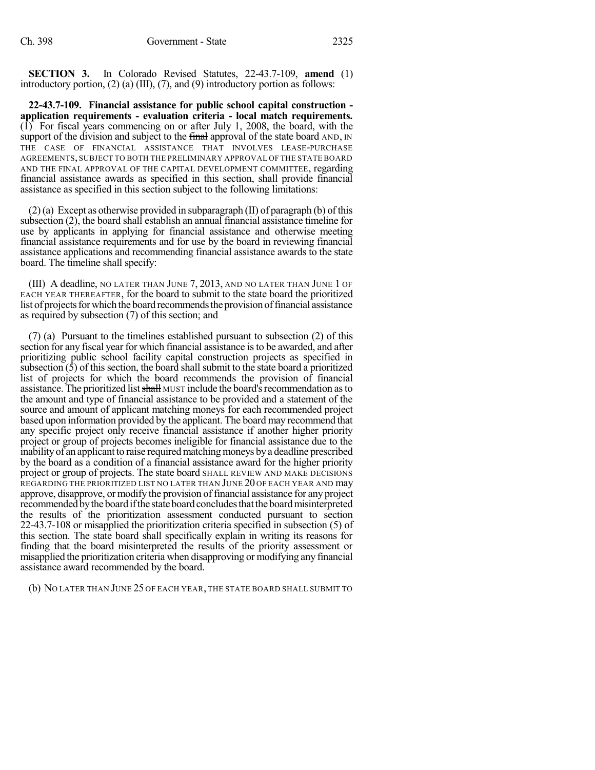**SECTION 3.** In Colorado Revised Statutes, 22-43.7-109, **amend** (1) introductory portion,  $(2)$  (a) (III),  $(7)$ , and  $(9)$  introductory portion as follows:

**22-43.7-109. Financial assistance for public school capital construction application requirements - evaluation criteria - local match requirements.** (1) For fiscal years commencing on or after July 1, 2008, the board, with the support of the division and subject to the final approval of the state board AND, IN THE CASE OF FINANCIAL ASSISTANCE THAT INVOLVES LEASE-PURCHASE AGREEMENTS, SUBJECT TO BOTH THE PRELIMINARY APPROVAL OF THE STATE BOARD AND THE FINAL APPROVAL OF THE CAPITAL DEVELOPMENT COMMITTEE, regarding financial assistance awards as specified in this section, shall provide financial assistance as specified in this section subject to the following limitations:

 $(2)$ (a) Except as otherwise provided in subparagraph (II) of paragraph (b) of this subsection (2), the board shall establish an annual financial assistance timeline for use by applicants in applying for financial assistance and otherwise meeting financial assistance requirements and for use by the board in reviewing financial assistance applications and recommending financial assistance awards to the state board. The timeline shall specify:

(III) A deadline, NO LATER THAN JUNE 7, 2013, AND NO LATER THAN JUNE 1 OF EACH YEAR THEREAFTER, for the board to submit to the state board the prioritized list of projects for which the board recommends the provision of financial assistance as required by subsection (7) of this section; and

(7) (a) Pursuant to the timelines established pursuant to subsection (2) of this section for any fiscal year for which financial assistance is to be awarded, and after prioritizing public school facility capital construction projects as specified in subsection  $(\bar{5})$  of this section, the board shall submit to the state board a prioritized list of projects for which the board recommends the provision of financial assistance. The prioritized list shall MUST include the board's recommendation as to the amount and type of financial assistance to be provided and a statement of the source and amount of applicant matching moneys for each recommended project based upon information provided by the applicant. The board may recommend that any specific project only receive financial assistance if another higher priority project or group of projects becomes ineligible for financial assistance due to the inability of an applicant to raise required matching moneys by a deadline prescribed by the board as a condition of a financial assistance award for the higher priority project or group of projects. The state board SHALL REVIEW AND MAKE DECISIONS REGARDING THE PRIORITIZED LIST NO LATER THAN JUNE 20 OF EACH YEAR AND may approve, disapprove, or modify the provision of financial assistance for any project recommended by the board if the state board concludes that the board misinterpreted the results of the prioritization assessment conducted pursuant to section 22-43.7-108 or misapplied the prioritization criteria specified in subsection (5) of this section. The state board shall specifically explain in writing its reasons for finding that the board misinterpreted the results of the priority assessment or misapplied the prioritization criteria when disapproving or modifying any financial assistance award recommended by the board.

(b) NO LATER THAN JUNE 25 OF EACH YEAR, THE STATE BOARD SHALL SUBMIT TO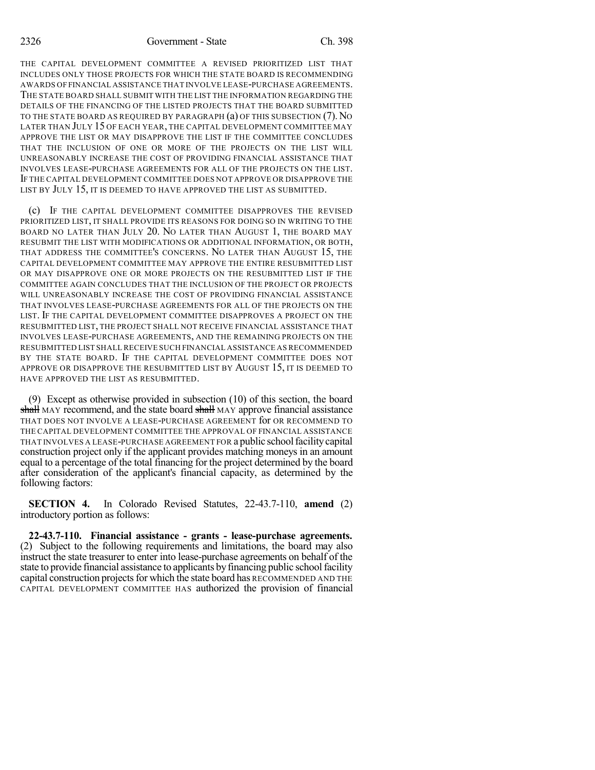THE CAPITAL DEVELOPMENT COMMITTEE A REVISED PRIORITIZED LIST THAT INCLUDES ONLY THOSE PROJECTS FOR WHICH THE STATE BOARD IS RECOMMENDING AWARDS OF FINANCIAL ASSISTANCE THAT INVOLVE LEASE-PURCHASE AGREEMENTS. THE STATE BOARD SHALL SUBMIT WITH THE LIST THE INFORMATION REGARDING THE DETAILS OF THE FINANCING OF THE LISTED PROJECTS THAT THE BOARD SUBMITTED TO THE STATE BOARD AS REQUIRED BY PARAGRAPH (a) OF THIS SUBSECTION (7).NO LATER THAN JULY 15 OF EACH YEAR, THE CAPITAL DEVELOPMENT COMMITTEE MAY APPROVE THE LIST OR MAY DISAPPROVE THE LIST IF THE COMMITTEE CONCLUDES THAT THE INCLUSION OF ONE OR MORE OF THE PROJECTS ON THE LIST WILL UNREASONABLY INCREASE THE COST OF PROVIDING FINANCIAL ASSISTANCE THAT INVOLVES LEASE-PURCHASE AGREEMENTS FOR ALL OF THE PROJECTS ON THE LIST. IF THE CAPITAL DEVELOPMENT COMMITTEE DOES NOT APPROVE OR DISAPPROVE THE LIST BY JULY 15, IT IS DEEMED TO HAVE APPROVED THE LIST AS SUBMITTED.

(c) IF THE CAPITAL DEVELOPMENT COMMITTEE DISAPPROVES THE REVISED PRIORITIZED LIST, IT SHALL PROVIDE ITS REASONS FOR DOING SO IN WRITING TO THE BOARD NO LATER THAN JULY 20. NO LATER THAN AUGUST 1, THE BOARD MAY RESUBMIT THE LIST WITH MODIFICATIONS OR ADDITIONAL INFORMATION, OR BOTH, THAT ADDRESS THE COMMITTEE'S CONCERNS. NO LATER THAN AUGUST 15, THE CAPITAL DEVELOPMENT COMMITTEE MAY APPROVE THE ENTIRE RESUBMITTED LIST OR MAY DISAPPROVE ONE OR MORE PROJECTS ON THE RESUBMITTED LIST IF THE COMMITTEE AGAIN CONCLUDES THAT THE INCLUSION OF THE PROJECT OR PROJECTS WILL UNREASONABLY INCREASE THE COST OF PROVIDING FINANCIAL ASSISTANCE THAT INVOLVES LEASE-PURCHASE AGREEMENTS FOR ALL OF THE PROJECTS ON THE LIST. IF THE CAPITAL DEVELOPMENT COMMITTEE DISAPPROVES A PROJECT ON THE RESUBMITTED LIST, THE PROJECT SHALL NOT RECEIVE FINANCIAL ASSISTANCE THAT INVOLVES LEASE-PURCHASE AGREEMENTS, AND THE REMAINING PROJECTS ON THE RESUBMITTED LIST SHALL RECEIVE SUCH FINANCIAL ASSISTANCE AS RECOMMENDED BY THE STATE BOARD. IF THE CAPITAL DEVELOPMENT COMMITTEE DOES NOT APPROVE OR DISAPPROVE THE RESUBMITTED LIST BY AUGUST 15, IT IS DEEMED TO HAVE APPROVED THE LIST AS RESUBMITTED.

(9) Except as otherwise provided in subsection (10) of this section, the board shall MAY recommend, and the state board shall MAY approve financial assistance THAT DOES NOT INVOLVE A LEASE-PURCHASE AGREEMENT for OR RECOMMEND TO THE CAPITAL DEVELOPMENT COMMITTEE THE APPROVAL OF FINANCIAL ASSISTANCE THAT INVOLVES A LEASE-PURCHASE AGREEMENT FOR a public schoolfacilitycapital construction project only if the applicant provides matching moneys in an amount equal to a percentage of the total financing for the project determined by the board after consideration of the applicant's financial capacity, as determined by the following factors:

**SECTION 4.** In Colorado Revised Statutes, 22-43.7-110, **amend** (2) introductory portion as follows:

**22-43.7-110. Financial assistance - grants - lease-purchase agreements.** (2) Subject to the following requirements and limitations, the board may also instruct the state treasurer to enter into lease-purchase agreements on behalf of the state to provide financial assistance to applicants by financing public school facility capital construction projects for which the state board has RECOMMENDED AND THE CAPITAL DEVELOPMENT COMMITTEE HAS authorized the provision of financial